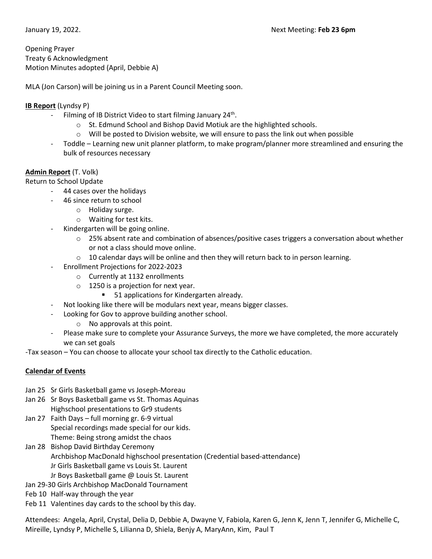Opening Prayer Treaty 6 Acknowledgment Motion Minutes adopted (April, Debbie A)

MLA (Jon Carson) will be joining us in a Parent Council Meeting soon.

# **IB Report** (Lyndsy P)

- Filming of IB District Video to start filming January  $24<sup>th</sup>$ .
	- o St. Edmund School and Bishop David Motiuk are the highlighted schools.
	- $\circ$  Will be posted to Division website, we will ensure to pass the link out when possible
- Toddle Learning new unit planner platform, to make program/planner more streamlined and ensuring the bulk of resources necessary

# **Admin Report** (T. Volk)

Return to School Update

- 44 cases over the holidays
	- 46 since return to school
		- o Holiday surge.
		- o Waiting for test kits.
- Kindergarten will be going online.
	- $\circ$  25% absent rate and combination of absences/positive cases triggers a conversation about whether or not a class should move online.
	- $\circ$  10 calendar days will be online and then they will return back to in person learning.
- Enrollment Projections for 2022-2023
	- o Currently at 1132 enrollments
	- $\circ$  1250 is a projection for next year.
		- **51 applications for Kindergarten already.**
- Not looking like there will be modulars next year, means bigger classes.
- Looking for Gov to approve building another school.
	- o No approvals at this point.
- Please make sure to complete your Assurance Surveys, the more we have completed, the more accurately we can set goals

-Tax season – You can choose to allocate your school tax directly to the Catholic education.

# **Calendar of Events**

- Jan 25 Sr Girls Basketball game vs Joseph-Moreau
- Jan 26 Sr Boys Basketball game vs St. Thomas Aquinas Highschool presentations to Gr9 students
- Jan 27 Faith Days full morning gr. 6-9 virtual Special recordings made special for our kids. Theme: Being strong amidst the chaos
- Jan 28 Bishop David Birthday Ceremony Archbishop MacDonald highschool presentation (Credential based-attendance) Jr Girls Basketball game vs Louis St. Laurent Jr Boys Basketball game @ Louis St. Laurent
- Jan 29-30 Girls Archbishop MacDonald Tournament
- Feb 10 Half-way through the year
- Feb 11 Valentines day cards to the school by this day.

Attendees: Angela, April, Crystal, Delia D, Debbie A, Dwayne V, Fabiola, Karen G, Jenn K, Jenn T, Jennifer G, Michelle C, Mireille, Lyndsy P, Michelle S, Lilianna D, Shiela, Benjy A, MaryAnn, Kim, Paul T